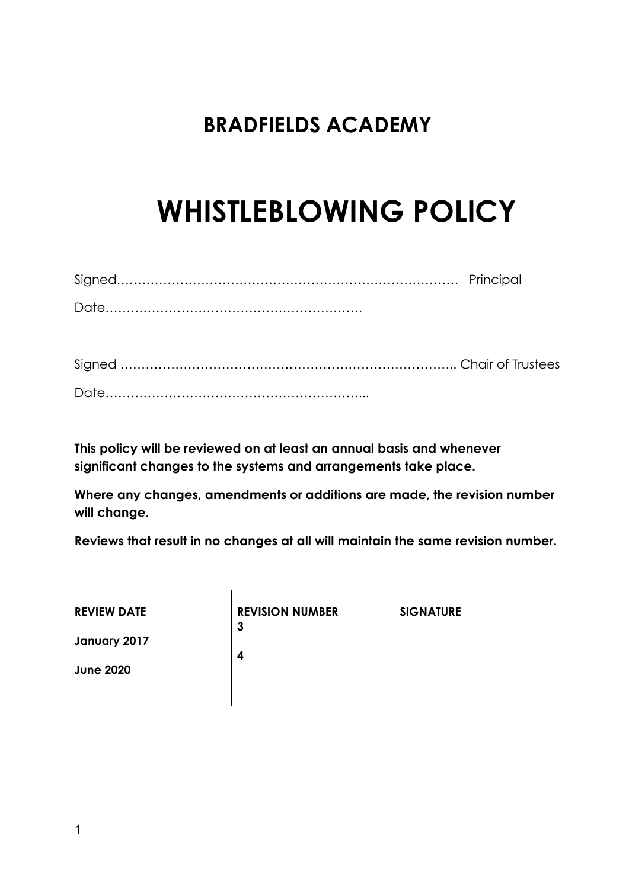# **BRADFIELDS ACADEMY**

# **WHISTLEBLOWING POLICY**

**This policy will be reviewed on at least an annual basis and whenever significant changes to the systems and arrangements take place.**

**Where any changes, amendments or additions are made, the revision number will change.**

**Reviews that result in no changes at all will maintain the same revision number.**

| <b>REVIEW DATE</b> | <b>REVISION NUMBER</b> | <b>SIGNATURE</b> |
|--------------------|------------------------|------------------|
|                    | 3                      |                  |
| January 2017       |                        |                  |
|                    | 4                      |                  |
| <b>June 2020</b>   |                        |                  |
|                    |                        |                  |
|                    |                        |                  |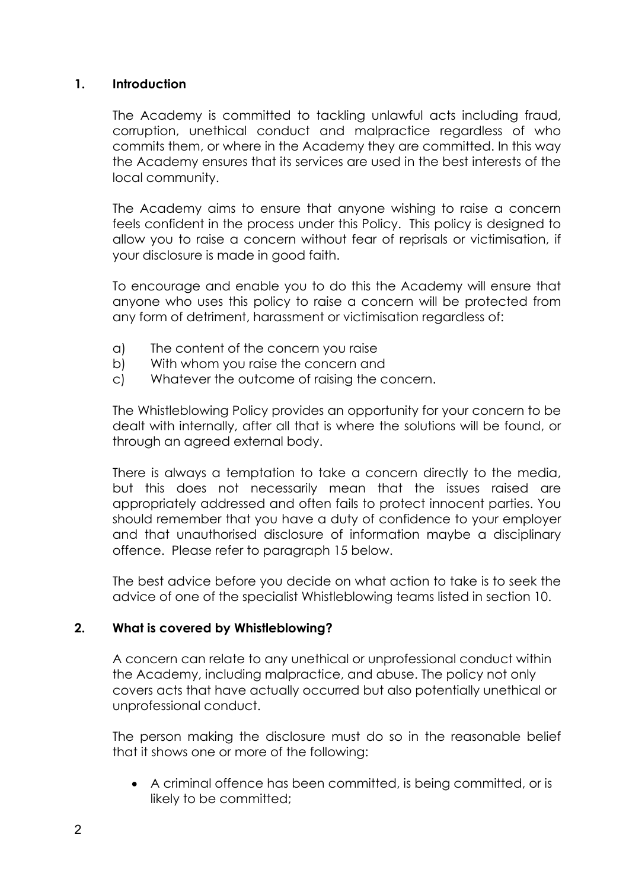#### **1. Introduction**

The Academy is committed to tackling unlawful acts including fraud, corruption, unethical conduct and malpractice regardless of who commits them, or where in the Academy they are committed. In this way the Academy ensures that its services are used in the best interests of the local community.

The Academy aims to ensure that anyone wishing to raise a concern feels confident in the process under this Policy. This policy is designed to allow you to raise a concern without fear of reprisals or victimisation, if your disclosure is made in good faith.

To encourage and enable you to do this the Academy will ensure that anyone who uses this policy to raise a concern will be protected from any form of detriment, harassment or victimisation regardless of:

- a) The content of the concern you raise
- b) With whom you raise the concern and
- c) Whatever the outcome of raising the concern.

The Whistleblowing Policy provides an opportunity for your concern to be dealt with internally, after all that is where the solutions will be found, or through an agreed external body.

There is always a temptation to take a concern directly to the media, but this does not necessarily mean that the issues raised are appropriately addressed and often fails to protect innocent parties. You should remember that you have a duty of confidence to your employer and that unauthorised disclosure of information maybe a disciplinary offence. Please refer to paragraph 15 below.

The best advice before you decide on what action to take is to seek the advice of one of the specialist Whistleblowing teams listed in section 10.

# **2. What is covered by Whistleblowing?**

A concern can relate to any unethical or unprofessional conduct within the Academy, including malpractice, and abuse. The policy not only covers acts that have actually occurred but also potentially unethical or unprofessional conduct.

The person making the disclosure must do so in the reasonable belief that it shows one or more of the following:

• A criminal offence has been committed, is being committed, or is likely to be committed;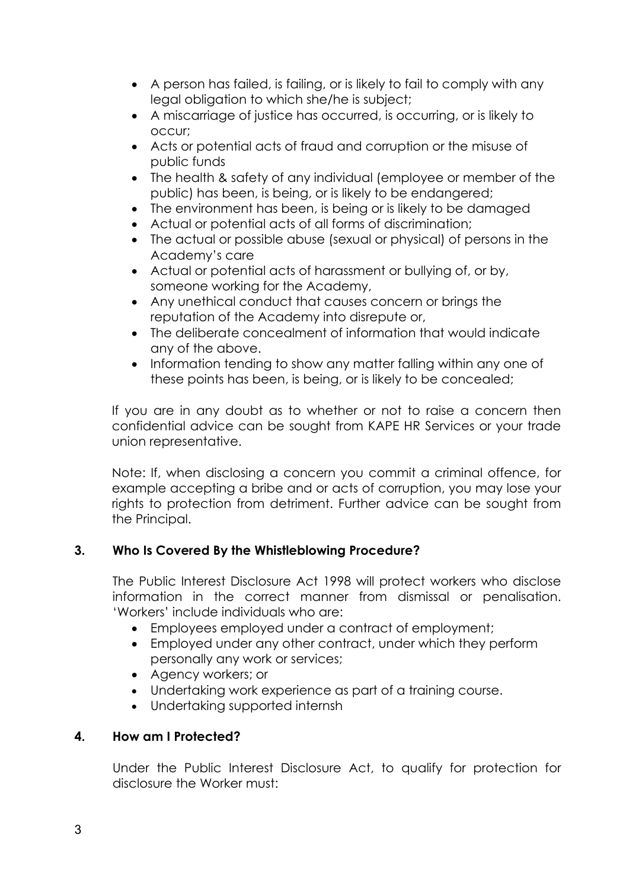- A person has failed, is failing, or is likely to fail to comply with any legal obligation to which she/he is subject;
- A miscarriage of justice has occurred, is occurring, or is likely to occur;
- Acts or potential acts of fraud and corruption or the misuse of public funds
- The health & safety of any individual (employee or member of the public) has been, is being, or is likely to be endangered;
- The environment has been, is being or is likely to be damaged
- Actual or potential acts of all forms of discrimination;
- The actual or possible abuse (sexual or physical) of persons in the Academy's care
- Actual or potential acts of harassment or bullying of, or by, someone working for the Academy,
- Any unethical conduct that causes concern or brings the reputation of the Academy into disrepute or,
- The deliberate concealment of information that would indicate any of the above.
- Information tending to show any matter falling within any one of these points has been, is being, or is likely to be concealed;

If you are in any doubt as to whether or not to raise a concern then confidential advice can be sought from KAPE HR Services or your trade union representative.

Note: If, when disclosing a concern you commit a criminal offence, for example accepting a bribe and or acts of corruption, you may lose your rights to protection from detriment. Further advice can be sought from the Principal.

# **3. Who Is Covered By the Whistleblowing Procedure?**

The Public Interest Disclosure Act 1998 will protect workers who disclose information in the correct manner from dismissal or penalisation. 'Workers' include individuals who are:

- Employees employed under a contract of employment;
- Employed under any other contract, under which they perform personally any work or services;
- Agency workers; or
- Undertaking work experience as part of a training course.
- Undertaking supported internsh

# **4. How am I Protected?**

Under the Public Interest Disclosure Act, to qualify for protection for disclosure the Worker must: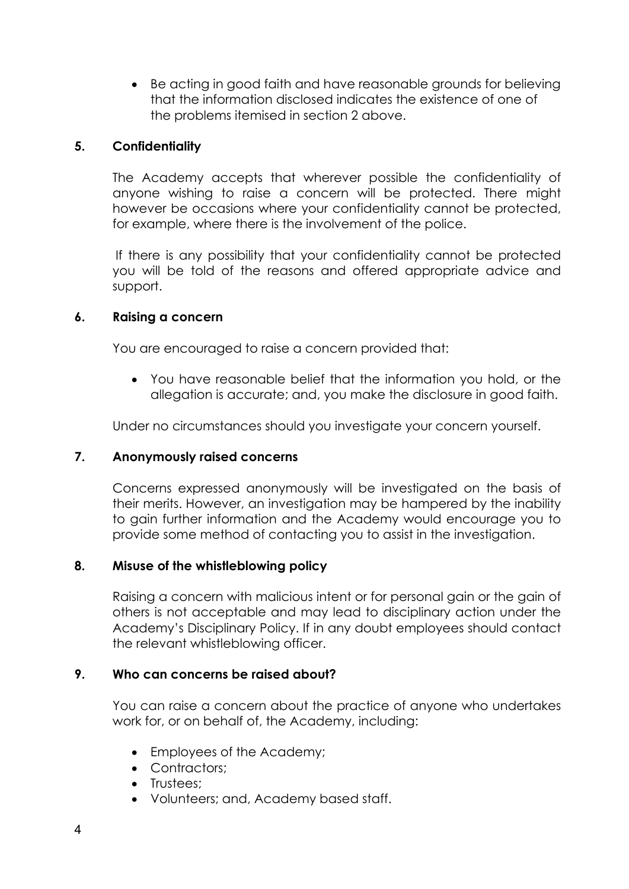• Be acting in good faith and have reasonable grounds for believing that the information disclosed indicates the existence of one of the problems itemised in section 2 above.

# **5. Confidentiality**

The Academy accepts that wherever possible the confidentiality of anyone wishing to raise a concern will be protected. There might however be occasions where your confidentiality cannot be protected, for example, where there is the involvement of the police.

If there is any possibility that your confidentiality cannot be protected you will be told of the reasons and offered appropriate advice and support.

# **6. Raising a concern**

You are encouraged to raise a concern provided that:

• You have reasonable belief that the information you hold, or the allegation is accurate; and, you make the disclosure in good faith.

Under no circumstances should you investigate your concern yourself.

# **7. Anonymously raised concerns**

Concerns expressed anonymously will be investigated on the basis of their merits. However, an investigation may be hampered by the inability to gain further information and the Academy would encourage you to provide some method of contacting you to assist in the investigation.

#### **8. Misuse of the whistleblowing policy**

Raising a concern with malicious intent or for personal gain or the gain of others is not acceptable and may lead to disciplinary action under the Academy's Disciplinary Policy. If in any doubt employees should contact the relevant whistleblowing officer.

# **9. Who can concerns be raised about?**

You can raise a concern about the practice of anyone who undertakes work for, or on behalf of, the Academy, including:

- Employees of the Academy;
- Contractors;
- Trustees;
- Volunteers; and, Academy based staff.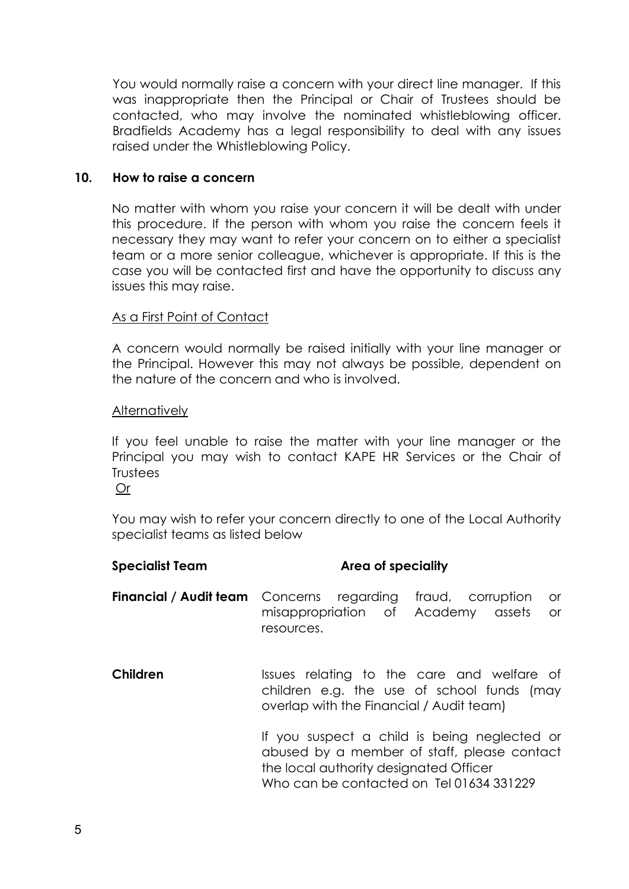You would normally raise a concern with your direct line manager. If this was inappropriate then the Principal or Chair of Trustees should be contacted, who may involve the nominated whistleblowing officer. Bradfields Academy has a legal responsibility to deal with any issues raised under the Whistleblowing Policy.

#### **10. How to raise a concern**

No matter with whom you raise your concern it will be dealt with under this procedure. If the person with whom you raise the concern feels it necessary they may want to refer your concern on to either a specialist team or a more senior colleague, whichever is appropriate. If this is the case you will be contacted first and have the opportunity to discuss any issues this may raise.

#### As a First Point of Contact

A concern would normally be raised initially with your line manager or the Principal. However this may not always be possible, dependent on the nature of the concern and who is involved.

#### **Alternatively**

If you feel unable to raise the matter with your line manager or the Principal you may wish to contact KAPE HR Services or the Chair of **Trustees** 

Or

You may wish to refer your concern directly to one of the Local Authority specialist teams as listed below

# **Specialist Team Area of speciality**

**Financial / Audit team** Concerns regarding fraud, corruption or misappropriation of Academy assets or resources.

**Children** Issues relating to the care and welfare of children e.g. the use of school funds (may overlap with the Financial / Audit team)

> If you suspect a child is being neglected or abused by a member of staff, please contact the local authority designated Officer Who can be contacted on Tel 01634 331229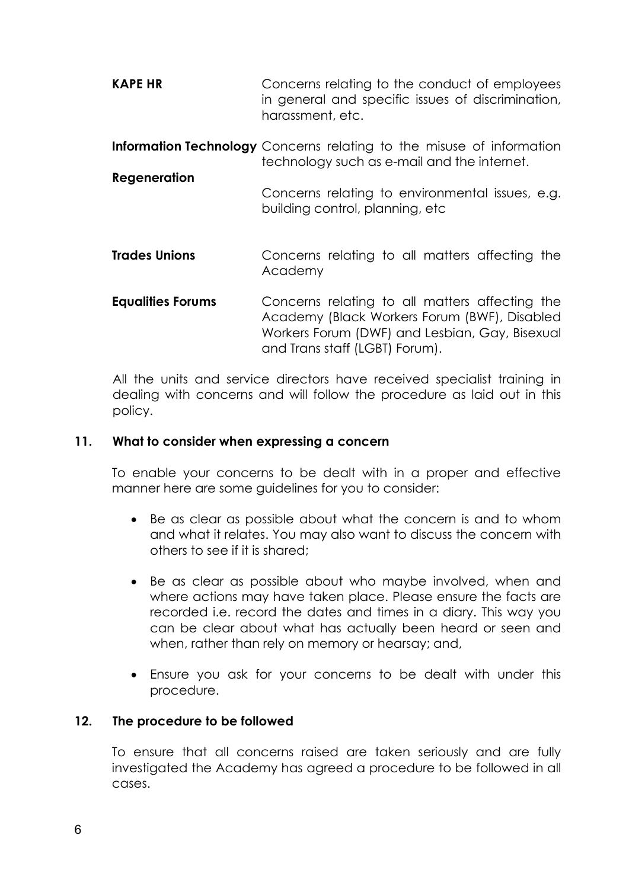| <b>KAPE HR</b> | Concerns relating to the conduct of employees     |
|----------------|---------------------------------------------------|
|                | in general and specific issues of discrimination, |
|                | harassment, etc.                                  |

- **Information Technology** Concerns relating to the misuse of information technology such as e-mail and the internet.
- **Regeneration** Concerns relating to environmental issues, e.g. building control, planning, etc
- **Trades Unions** Concerns relating to all matters affecting the Academy
- **Equalities Forums** Concerns relating to all matters affecting the Academy (Black Workers Forum (BWF), Disabled Workers Forum (DWF) and Lesbian, Gay, Bisexual and Trans staff (LGBT) Forum).

All the units and service directors have received specialist training in dealing with concerns and will follow the procedure as laid out in this policy.

# **11. What to consider when expressing a concern**

To enable your concerns to be dealt with in a proper and effective manner here are some guidelines for you to consider:

- Be as clear as possible about what the concern is and to whom and what it relates. You may also want to discuss the concern with others to see if it is shared;
- Be as clear as possible about who maybe involved, when and where actions may have taken place. Please ensure the facts are recorded i.e. record the dates and times in a diary. This way you can be clear about what has actually been heard or seen and when, rather than rely on memory or hearsay; and,
- Ensure you ask for your concerns to be dealt with under this procedure.

#### **12. The procedure to be followed**

To ensure that all concerns raised are taken seriously and are fully investigated the Academy has agreed a procedure to be followed in all cases.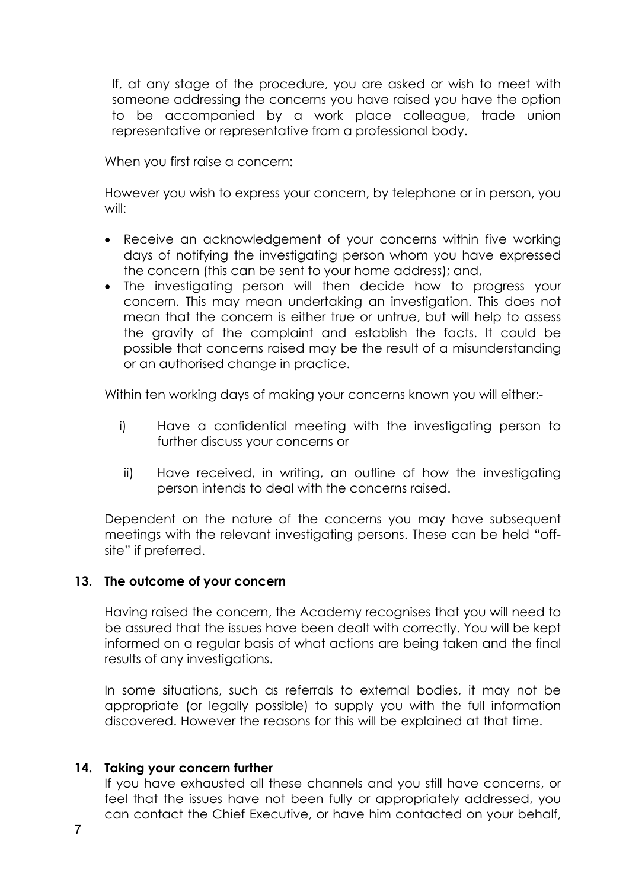If, at any stage of the procedure, you are asked or wish to meet with someone addressing the concerns you have raised you have the option to be accompanied by a work place colleague, trade union representative or representative from a professional body.

When you first raise a concern:

However you wish to express your concern, by telephone or in person, you will:

- Receive an acknowledgement of your concerns within five working days of notifying the investigating person whom you have expressed the concern (this can be sent to your home address); and,
- The investigating person will then decide how to progress your concern. This may mean undertaking an investigation. This does not mean that the concern is either true or untrue, but will help to assess the gravity of the complaint and establish the facts. It could be possible that concerns raised may be the result of a misunderstanding or an authorised change in practice.

Within ten working days of making your concerns known you will either:-

- i) Have a confidential meeting with the investigating person to further discuss your concerns or
- ii) Have received, in writing, an outline of how the investigating person intends to deal with the concerns raised.

Dependent on the nature of the concerns you may have subsequent meetings with the relevant investigating persons. These can be held "offsite" if preferred.

# **13. The outcome of your concern**

Having raised the concern, the Academy recognises that you will need to be assured that the issues have been dealt with correctly. You will be kept informed on a regular basis of what actions are being taken and the final results of any investigations.

In some situations, such as referrals to external bodies, it may not be appropriate (or legally possible) to supply you with the full information discovered. However the reasons for this will be explained at that time.

# **14. Taking your concern further**

If you have exhausted all these channels and you still have concerns, or feel that the issues have not been fully or appropriately addressed, you can contact the Chief Executive, or have him contacted on your behalf,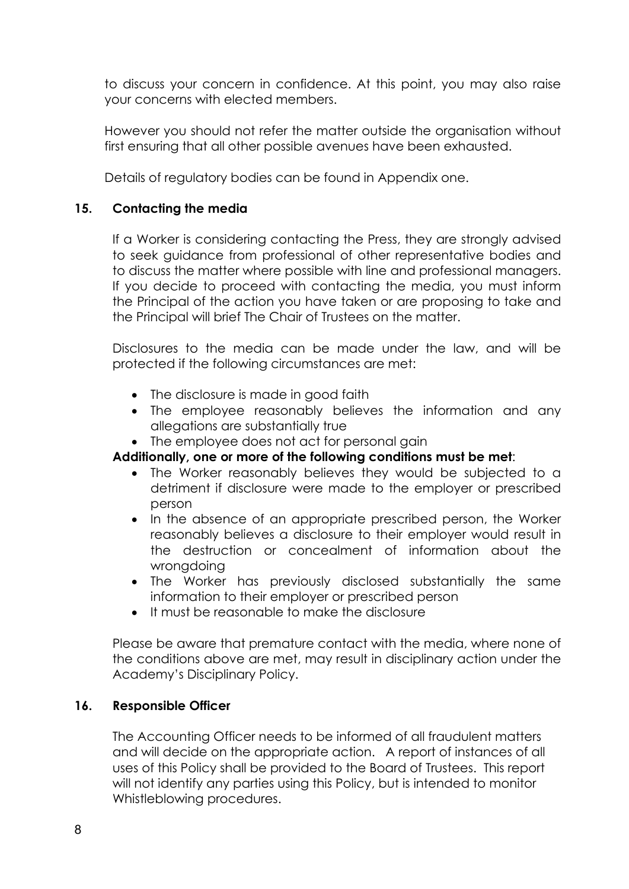to discuss your concern in confidence. At this point, you may also raise your concerns with elected members.

However you should not refer the matter outside the organisation without first ensuring that all other possible avenues have been exhausted.

Details of regulatory bodies can be found in Appendix one.

# **15. Contacting the media**

If a Worker is considering contacting the Press, they are strongly advised to seek guidance from professional of other representative bodies and to discuss the matter where possible with line and professional managers. If you decide to proceed with contacting the media, you must inform the Principal of the action you have taken or are proposing to take and the Principal will brief The Chair of Trustees on the matter.

Disclosures to the media can be made under the law, and will be protected if the following circumstances are met:

- The disclosure is made in good faith
- The employee reasonably believes the information and any allegations are substantially true
- The employee does not act for personal gain

# **Additionally, one or more of the following conditions must be met**:

- The Worker reasonably believes they would be subjected to a detriment if disclosure were made to the employer or prescribed person
- In the absence of an appropriate prescribed person, the Worker reasonably believes a disclosure to their employer would result in the destruction or concealment of information about the wrongdoing
- The Worker has previously disclosed substantially the same information to their employer or prescribed person
- It must be reasonable to make the disclosure

Please be aware that premature contact with the media, where none of the conditions above are met, may result in disciplinary action under the Academy's Disciplinary Policy.

# **16. Responsible Officer**

The Accounting Officer needs to be informed of all fraudulent matters and will decide on the appropriate action. A report of instances of all uses of this Policy shall be provided to the Board of Trustees. This report will not identify any parties using this Policy, but is intended to monitor Whistleblowing procedures.